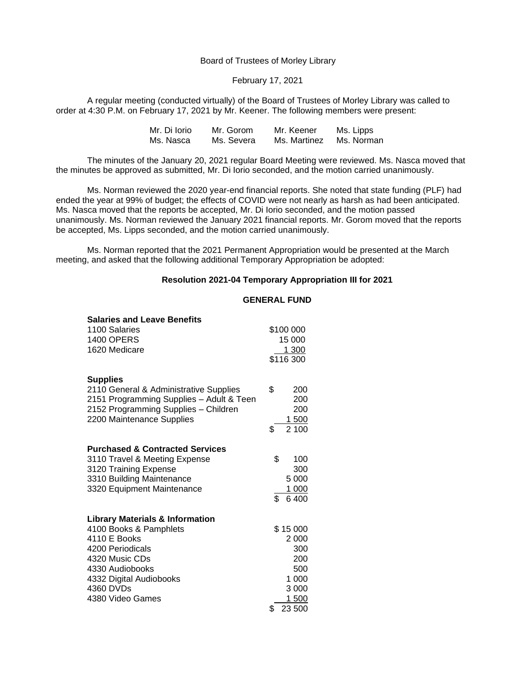Board of Trustees of Morley Library

February 17, 2021

A regular meeting (conducted virtually) of the Board of Trustees of Morley Library was called to order at 4:30 P.M. on February 17, 2021 by Mr. Keener. The following members were present:

| Mr. Di Iorio | Mr. Gorom  | Mr. Keener   | Ms. Lipps  |
|--------------|------------|--------------|------------|
| Ms. Nasca    | Ms. Severa | Ms. Martinez | Ms. Norman |

The minutes of the January 20, 2021 regular Board Meeting were reviewed. Ms. Nasca moved that the minutes be approved as submitted, Mr. Di Iorio seconded, and the motion carried unanimously.

Ms. Norman reviewed the 2020 year-end financial reports. She noted that state funding (PLF) had ended the year at 99% of budget; the effects of COVID were not nearly as harsh as had been anticipated. Ms. Nasca moved that the reports be accepted, Mr. Di Iorio seconded, and the motion passed unanimously. Ms. Norman reviewed the January 2021 financial reports. Mr. Gorom moved that the reports be accepted, Ms. Lipps seconded, and the motion carried unanimously.

Ms. Norman reported that the 2021 Permanent Appropriation would be presented at the March meeting, and asked that the following additional Temporary Appropriation be adopted:

## **Resolution 2021-04 Temporary Appropriation III for 2021**

## **GENERAL FUND**

| <b>Salaries and Leave Benefits</b>         |              |
|--------------------------------------------|--------------|
| 1100 Salaries                              | \$100 000    |
| <b>1400 OPERS</b>                          | 15 000       |
| 1620 Medicare                              | 1 300        |
|                                            | \$116 300    |
|                                            |              |
| <b>Supplies</b>                            |              |
| 2110 General & Administrative Supplies     | \$<br>200    |
| 2151 Programming Supplies - Adult & Teen   | 200          |
| 2152 Programming Supplies - Children       | 200          |
| 2200 Maintenance Supplies                  | 1 500        |
|                                            | 2 100<br>\$  |
| <b>Purchased &amp; Contracted Services</b> |              |
| 3110 Travel & Meeting Expense              | \$<br>100    |
| 3120 Training Expense                      | 300          |
| 3310 Building Maintenance                  | 5 0 0 0      |
| 3320 Equipment Maintenance                 | 1 000        |
|                                            | \$<br>6400   |
| <b>Library Materials &amp; Information</b> |              |
| 4100 Books & Pamphlets                     | \$15 000     |
| 4110 E Books                               | 2 000        |
| 4200 Periodicals                           | 300          |
| 4320 Music CDs                             | 200          |
| 4330 Audiobooks                            | 500          |
| 4332 Digital Audiobooks                    | 1 000        |
| 4360 DVDs                                  | 3 0 0 0      |
| 4380 Video Games                           | 1 500        |
|                                            | 23 500<br>\$ |